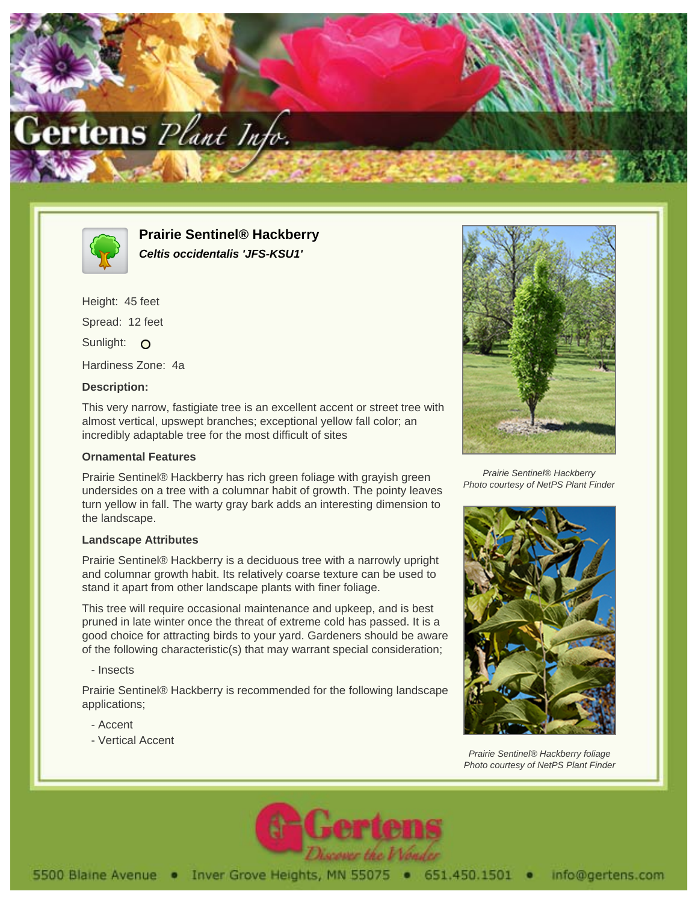



**Prairie Sentinel® Hackberry Celtis occidentalis 'JFS-KSU1'**

Height: 45 feet Spread: 12 feet Sunlight: O Hardiness Zone: 4a

# **Description:**

This very narrow, fastigiate tree is an excellent accent or street tree with almost vertical, upswept branches; exceptional yellow fall color; an incredibly adaptable tree for the most difficult of sites

### **Ornamental Features**

Prairie Sentinel® Hackberry has rich green foliage with grayish green undersides on a tree with a columnar habit of growth. The pointy leaves turn yellow in fall. The warty gray bark adds an interesting dimension to the landscape.

#### **Landscape Attributes**

Prairie Sentinel® Hackberry is a deciduous tree with a narrowly upright and columnar growth habit. Its relatively coarse texture can be used to stand it apart from other landscape plants with finer foliage.

This tree will require occasional maintenance and upkeep, and is best pruned in late winter once the threat of extreme cold has passed. It is a good choice for attracting birds to your yard. Gardeners should be aware of the following characteristic(s) that may warrant special consideration;

- Insects

Prairie Sentinel® Hackberry is recommended for the following landscape applications;

- Accent
- Vertical Accent



Prairie Sentinel® Hackberry Photo courtesy of NetPS Plant Finder



Prairie Sentinel® Hackberry foliage Photo courtesy of NetPS Plant Finder